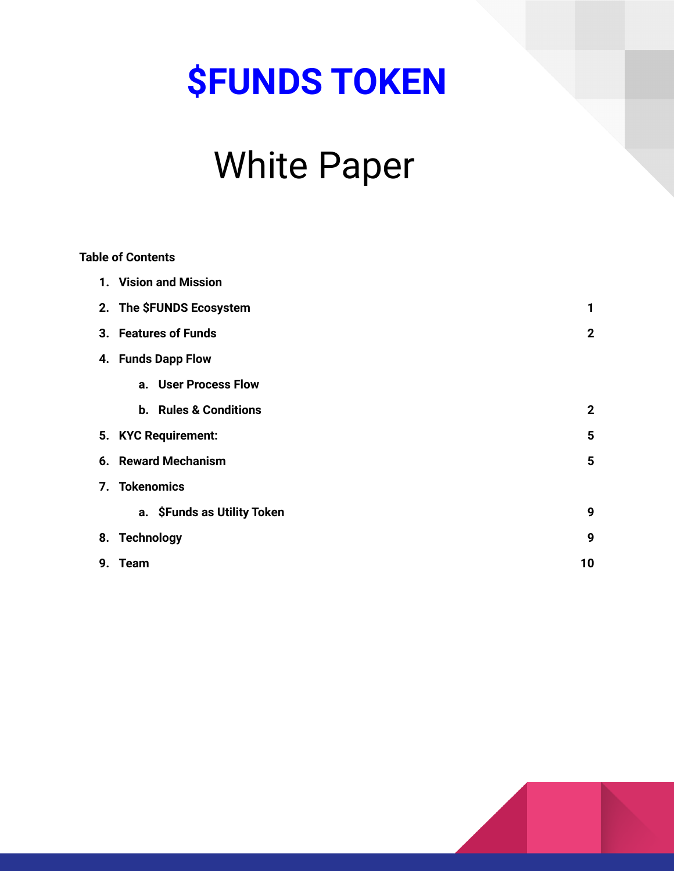# **\$FUNDS TOKEN**

## White Paper

|    | <b>Table of Contents</b>     |              |
|----|------------------------------|--------------|
|    | 1. Vision and Mission        |              |
|    | 2. The SFUNDS Ecosystem      | 1            |
|    | 3. Features of Funds         | $\mathbf 2$  |
|    | 4. Funds Dapp Flow           |              |
|    | a. User Process Flow         |              |
|    | <b>b.</b> Rules & Conditions | $\mathbf{2}$ |
|    | 5. KYC Requirement:          | 5            |
|    | 6. Reward Mechanism<br>5     |              |
|    | 7. Tokenomics                |              |
|    | a. \$Funds as Utility Token  | 9            |
|    | 8. Technology                | 9            |
| 9. | Team                         | 10           |

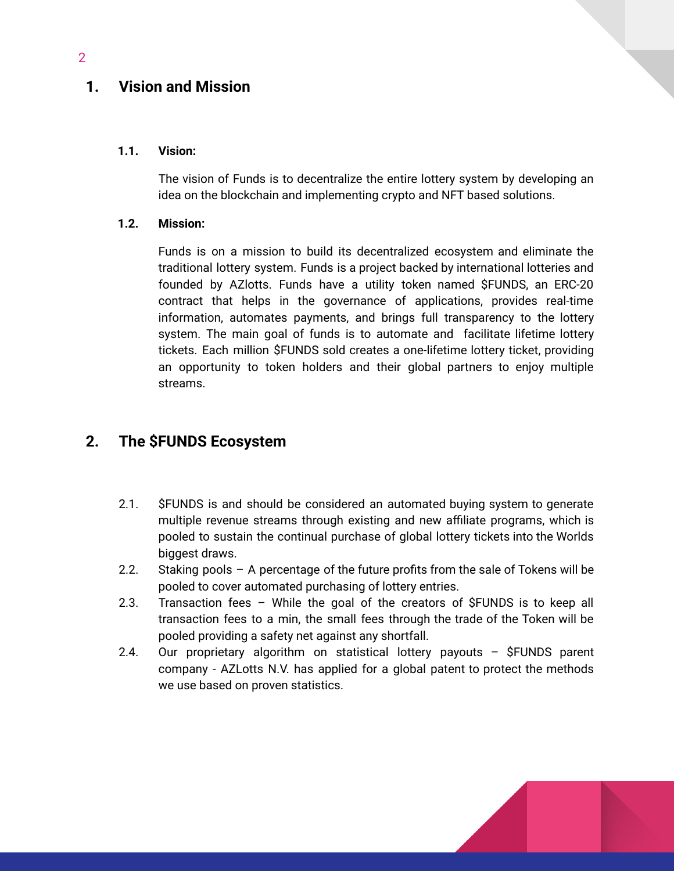## **1. Vision and Mission**

#### **1.1. Vision:**

The vision of Funds is to decentralize the entire lottery system by developing an idea on the blockchain and implementing crypto and NFT based solutions.

#### **1.2. Mission:**

Funds is on a mission to build its decentralized ecosystem and eliminate the traditional lottery system. Funds is a project backed by international lotteries and founded by AZlotts. Funds have a utility token named \$FUNDS, an ERC-20 contract that helps in the governance of applications, provides real-time information, automates payments, and brings full transparency to the lottery system. The main goal of funds is to automate and facilitate lifetime lottery tickets. Each million \$FUNDS sold creates a one-lifetime lottery ticket, providing an opportunity to token holders and their global partners to enjoy multiple streams.

## **2. The \$FUNDS Ecosystem**

- 2.1. \$FUNDS is and should be considered an automated buying system to generate multiple revenue streams through existing and new affiliate programs, which is pooled to sustain the continual purchase of global lottery tickets into the Worlds biggest draws.
- 2.2. Staking pools A percentage of the future profits from the sale of Tokens will be pooled to cover automated purchasing of lottery entries.
- 2.3. Transaction fees While the goal of the creators of \$FUNDS is to keep all transaction fees to a min, the small fees through the trade of the Token will be pooled providing a safety net against any shortfall.
- 2.4. Our proprietary algorithm on statistical lottery payouts \$FUNDS parent company - AZLotts N.V. has applied for a global patent to protect the methods we use based on proven statistics.

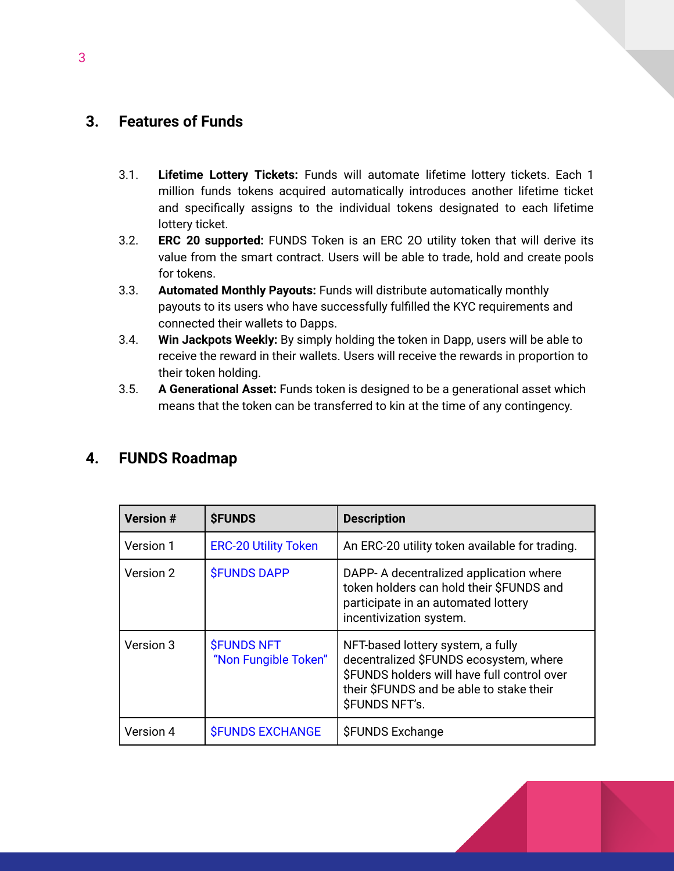## <span id="page-2-0"></span>**3. Features of Funds**

- 3.1. **Lifetime Lottery Tickets:** Funds will automate lifetime lottery tickets. Each 1 million funds tokens acquired automatically introduces another lifetime ticket and specifically assigns to the individual tokens designated to each lifetime lottery ticket.
- 3.2. **ERC 20 supported:** FUNDS Token is an ERC 2O utility token that will derive its value from the smart contract. Users will be able to trade, hold and create pools for tokens.
- 3.3. **Automated Monthly Payouts:** Funds will distribute automatically monthly payouts to its users who have successfully fulfilled the KYC requirements and connected their wallets to Dapps.
- 3.4. **Win Jackpots Weekly:** By simply holding the token in Dapp, users will be able to receive the reward in their wallets. Users will receive the rewards in proportion to their token holding.
- 3.5. **A Generational Asset:** Funds token is designed to be a generational asset which means that the token can be transferred to kin at the time of any contingency.

| <b>Version #</b> | <b><i>SFUNDS</i></b>                             | <b>Description</b>                                                                                                                                                                             |
|------------------|--------------------------------------------------|------------------------------------------------------------------------------------------------------------------------------------------------------------------------------------------------|
| Version 1        | <b>ERC-20 Utility Token</b>                      | An ERC-20 utility token available for trading.                                                                                                                                                 |
| Version 2        | <b><i>SFUNDS DAPP</i></b>                        | DAPP- A decentralized application where<br>token holders can hold their \$FUNDS and<br>participate in an automated lottery<br>incentivization system.                                          |
| Version 3        | <b><i>SFUNDS NFT</i></b><br>"Non Fungible Token" | NFT-based lottery system, a fully<br>decentralized \$FUNDS ecosystem, where<br>\$FUNDS holders will have full control over<br>their \$FUNDS and be able to stake their<br><b>SFUNDS NFT's.</b> |
| Version 4        | <b><i>SFUNDS EXCHANGE</i></b>                    | <b>SFUNDS Exchange</b>                                                                                                                                                                         |

## **4. FUNDS Roadmap**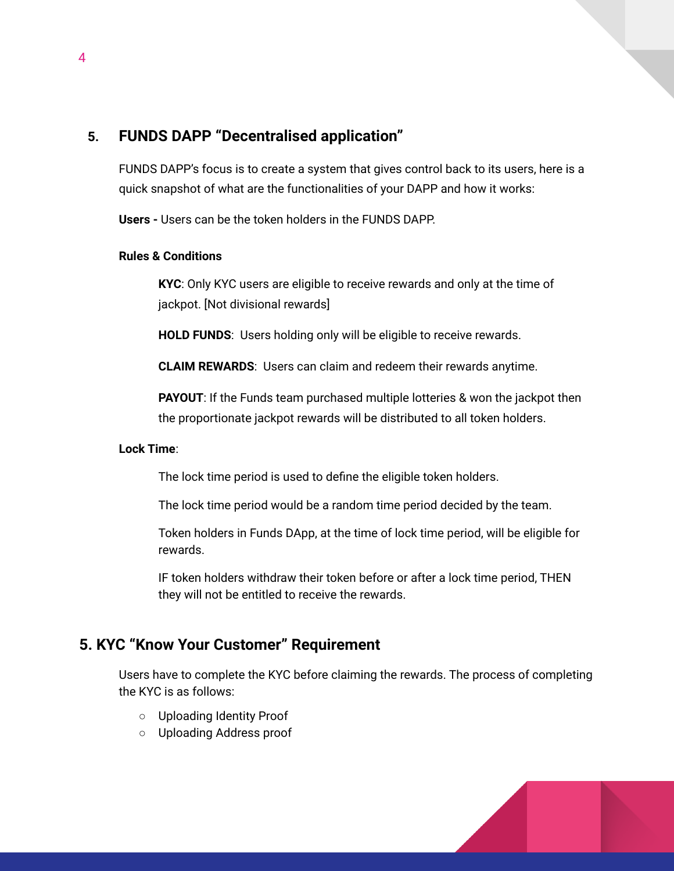## **5. FUNDS DAPP "Decentralised application"**

FUNDS DAPP's focus is to create a system that gives control back to its users, here is a quick snapshot of what are the functionalities of your DAPP and how it works:

**Users -** Users can be the token holders in the FUNDS DAPP.

#### **Rules & Conditions**

**KYC**: Only KYC users are eligible to receive rewards and only at the time of jackpot. [Not divisional rewards]

**HOLD FUNDS**: Users holding only will be eligible to receive rewards.

**CLAIM REWARDS**: Users can claim and redeem their rewards anytime.

**PAYOUT**: If the Funds team purchased multiple lotteries & won the jackpot then the proportionate jackpot rewards will be distributed to all token holders.

#### **Lock Time**:

The lock time period is used to define the eligible token holders.

The lock time period would be a random time period decided by the team.

Token holders in Funds DApp, at the time of lock time period, will be eligible for rewards.

IF token holders withdraw their token before or after a lock time period, THEN they will not be entitled to receive the rewards.

## **5. KYC "Know Your Customer" Requirement**

Users have to complete the KYC before claiming the rewards. The process of completing the KYC is as follows:

- Uploading Identity Proof
- Uploading Address proof

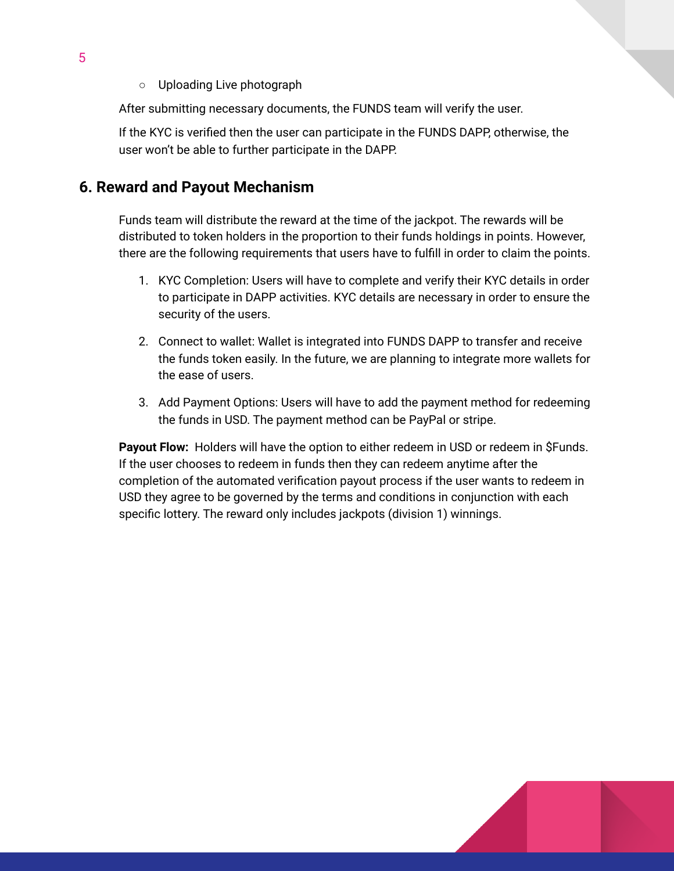○ Uploading Live photograph

After submitting necessary documents, the FUNDS team will verify the user.

If the KYC is verified then the user can participate in the FUNDS DAPP, otherwise, the user won't be able to further participate in the DAPP.

## <span id="page-4-0"></span>**6. Reward and Payout Mechanism**

Funds team will distribute the reward at the time of the jackpot. The rewards will be distributed to token holders in the proportion to their funds holdings in points. However, there are the following requirements that users have to fulfill in order to claim the points.

- 1. KYC Completion: Users will have to complete and verify their KYC details in order to participate in DAPP activities. KYC details are necessary in order to ensure the security of the users.
- 2. Connect to wallet: Wallet is integrated into FUNDS DAPP to transfer and receive the funds token easily. In the future, we are planning to integrate more wallets for the ease of users.
- 3. Add Payment Options: Users will have to add the payment method for redeeming the funds in USD. The payment method can be PayPal or stripe.

**Payout Flow:** Holders will have the option to either redeem in USD or redeem in \$Funds. If the user chooses to redeem in funds then they can redeem anytime after the completion of the automated verification payout process if the user wants to redeem in USD they agree to be governed by the terms and conditions in conjunction with each specific lottery. The reward only includes jackpots (division 1) winnings.

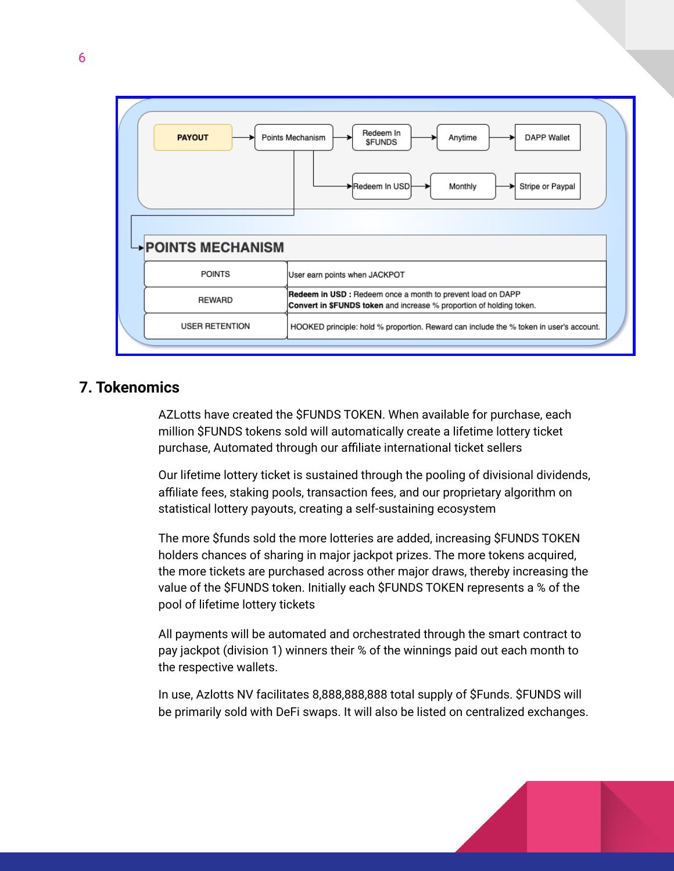

## **7. Tokenomics**

AZLotts have created the \$FUNDS TOKEN. When available for purchase, each million \$FUNDS tokens sold will automatically create a lifetime lottery ticket purchase, Automated through our affiliate international ticket sellers

Our lifetime lottery ticket is sustained through the pooling of divisional dividends, affiliate fees, staking pools, transaction fees, and our proprietary algorithm on statistical lottery payouts, creating a self-sustaining ecosystem

The more \$funds sold the more lotteries are added, increasing \$FUNDS TOKEN holders chances of sharing in major jackpot prizes. The more tokens acquired, the more tickets are purchased across other major draws, thereby increasing the value of the \$FUNDS token. Initially each \$FUNDS TOKEN represents a % of the pool of lifetime lottery tickets

All payments will be automated and orchestrated through the smart contract to pay jackpot (division 1) winners their % of the winnings paid out each month to the respective wallets.

In use, Azlotts NV facilitates 8,888,888,888 total supply of \$Funds. \$FUNDS will be primarily sold with DeFi swaps. It will also be listed on centralized exchanges.

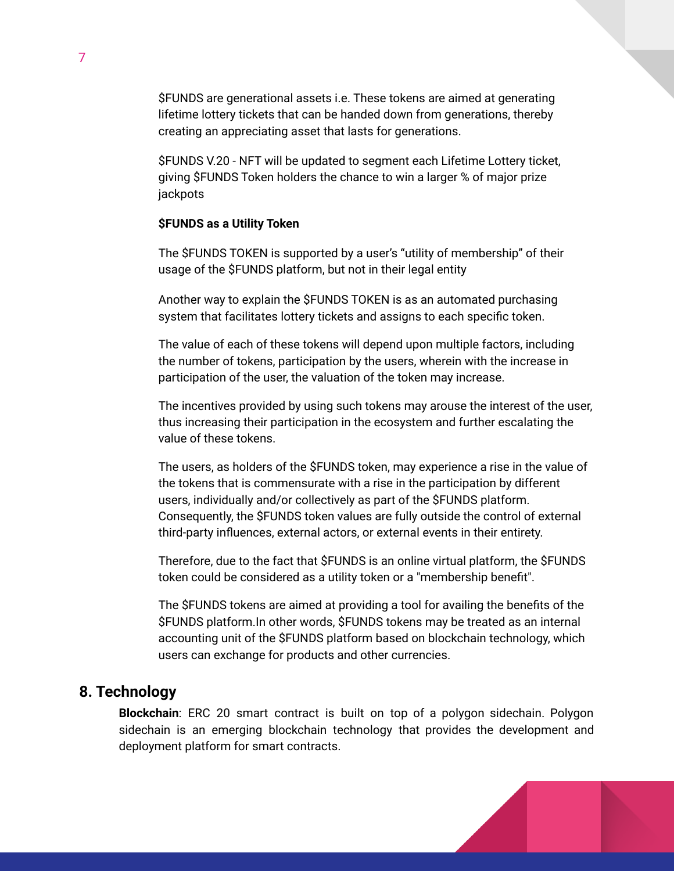\$FUNDS are generational assets i.e. These tokens are aimed at generating lifetime lottery tickets that can be handed down from generations, thereby creating an appreciating asset that lasts for generations.

\$FUNDS V.20 - NFT will be updated to segment each Lifetime Lottery ticket, giving \$FUNDS Token holders the chance to win a larger % of major prize jackpots

#### **\$FUNDS as a Utility Token**

The \$FUNDS TOKEN is supported by a user's "utility of membership" of their usage of the \$FUNDS platform, but not in their legal entity

Another way to explain the \$FUNDS TOKEN is as an automated purchasing system that facilitates lottery tickets and assigns to each specific token.

The value of each of these tokens will depend upon multiple factors, including the number of tokens, participation by the users, wherein with the increase in participation of the user, the valuation of the token may increase.

The incentives provided by using such tokens may arouse the interest of the user, thus increasing their participation in the ecosystem and further escalating the value of these tokens.

The users, as holders of the \$FUNDS token, may experience a rise in the value of the tokens that is commensurate with a rise in the participation by different users, individually and/or collectively as part of the \$FUNDS platform. Consequently, the \$FUNDS token values are fully outside the control of external third-party influences, external actors, or external events in their entirety.

Therefore, due to the fact that \$FUNDS is an online virtual platform, the \$FUNDS token could be considered as a utility token or a "membership benefit".

The \$FUNDS tokens are aimed at providing a tool for availing the benefits of the \$FUNDS platform.In other words, \$FUNDS tokens may be treated as an internal accounting unit of the \$FUNDS platform based on blockchain technology, which users can exchange for products and other currencies.

## <span id="page-6-0"></span>**8. Technology**

**Blockchain**: ERC 20 smart contract is built on top of a polygon sidechain. Polygon sidechain is an emerging blockchain technology that provides the development and deployment platform for smart contracts.

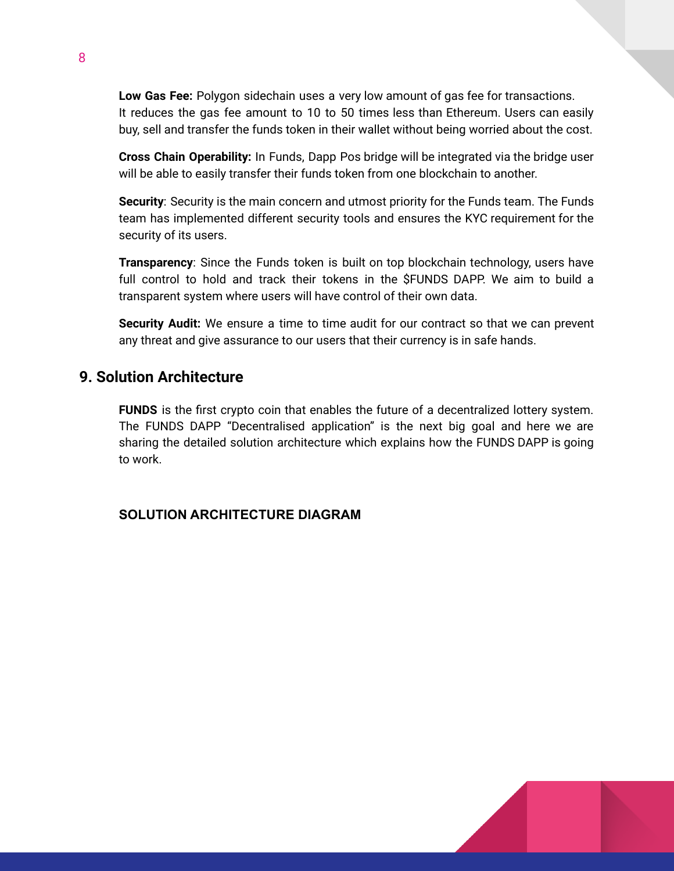**Low Gas Fee:** Polygon sidechain uses a very low amount of gas fee for transactions. It reduces the gas fee amount to 10 to 50 times less than Ethereum. Users can easily buy, sell and transfer the funds token in their wallet without being worried about the cost.

**Cross Chain Operability:** In Funds, Dapp Pos bridge will be integrated via the bridge user will be able to easily transfer their funds token from one blockchain to another.

**Security**: Security is the main concern and utmost priority for the Funds team. The Funds team has implemented different security tools and ensures the KYC requirement for the security of its users.

**Transparency**: Since the Funds token is built on top blockchain technology, users have full control to hold and track their tokens in the \$FUNDS DAPP. We aim to build a transparent system where users will have control of their own data.

**Security Audit:** We ensure a time to time audit for our contract so that we can prevent any threat and give assurance to our users that their currency is in safe hands.

## **9. Solution Architecture**

**FUNDS** is the first crypto coin that enables the future of a decentralized lottery system. The FUNDS DAPP "Decentralised application" is the next big goal and here we are sharing the detailed solution architecture which explains how the FUNDS DAPP is going to work.

## **SOLUTION ARCHITECTURE DIAGRAM**

8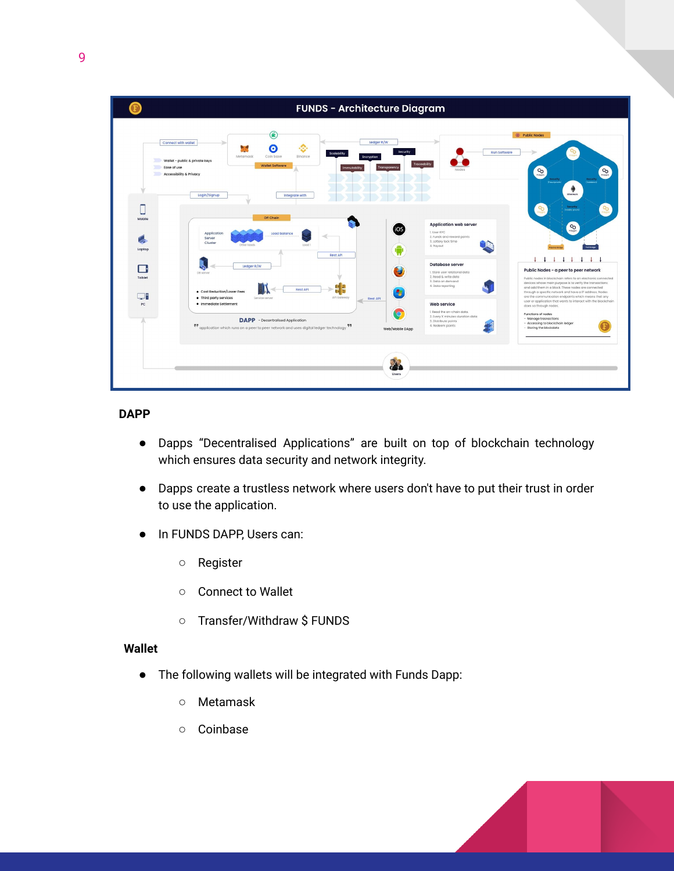

#### **DAPP**

- Dapps "Decentralised Applications" are built on top of blockchain technology which ensures data security and network integrity.
- Dapps create a trustless network where users don't have to put their trust in order to use the application.
- In FUNDS DAPP, Users can:
	- Register
	- Connect to Wallet
	- Transfer/Withdraw \$ FUNDS

#### **Wallet**

- The following wallets will be integrated with Funds Dapp:
	- Metamask
	- Coinbase

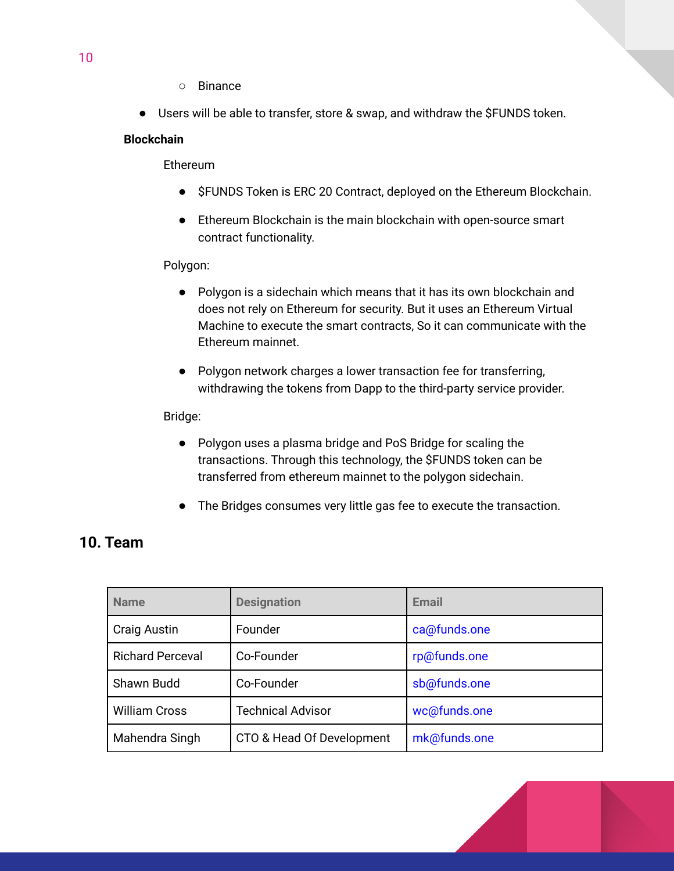- Binance
- Users will be able to transfer, store & swap, and withdraw the \$FUNDS token.

#### **Blockchain**

Ethereum

- \$FUNDS Token is ERC 20 Contract, deployed on the Ethereum Blockchain.
- Ethereum Blockchain is the main blockchain with open-source smart contract functionality.

#### Polygon:

- Polygon is a sidechain which means that it has its own blockchain and does not rely on Ethereum for security. But it uses an Ethereum Virtual Machine to execute the smart contracts, So it can communicate with the Ethereum mainnet.
- Polygon network charges a lower transaction fee for transferring, withdrawing the tokens from Dapp to the third-party service provider.

#### Bridge:

- Polygon uses a plasma bridge and PoS Bridge for scaling the transactions. Through this technology, the \$FUNDS token can be transferred from ethereum mainnet to the polygon sidechain.
- The Bridges consumes very little gas fee to execute the transaction.

## <span id="page-9-0"></span>**10. Team**

| <b>Name</b>             | <b>Designation</b>        | Email        |
|-------------------------|---------------------------|--------------|
| <b>Craig Austin</b>     | Founder                   | ca@funds.one |
| <b>Richard Perceval</b> | Co-Founder                | rp@funds.one |
| Shawn Budd              | Co-Founder                | sb@funds.one |
| <b>William Cross</b>    | <b>Technical Advisor</b>  | wc@funds.one |
| Mahendra Singh          | CTO & Head Of Development | mk@funds.one |